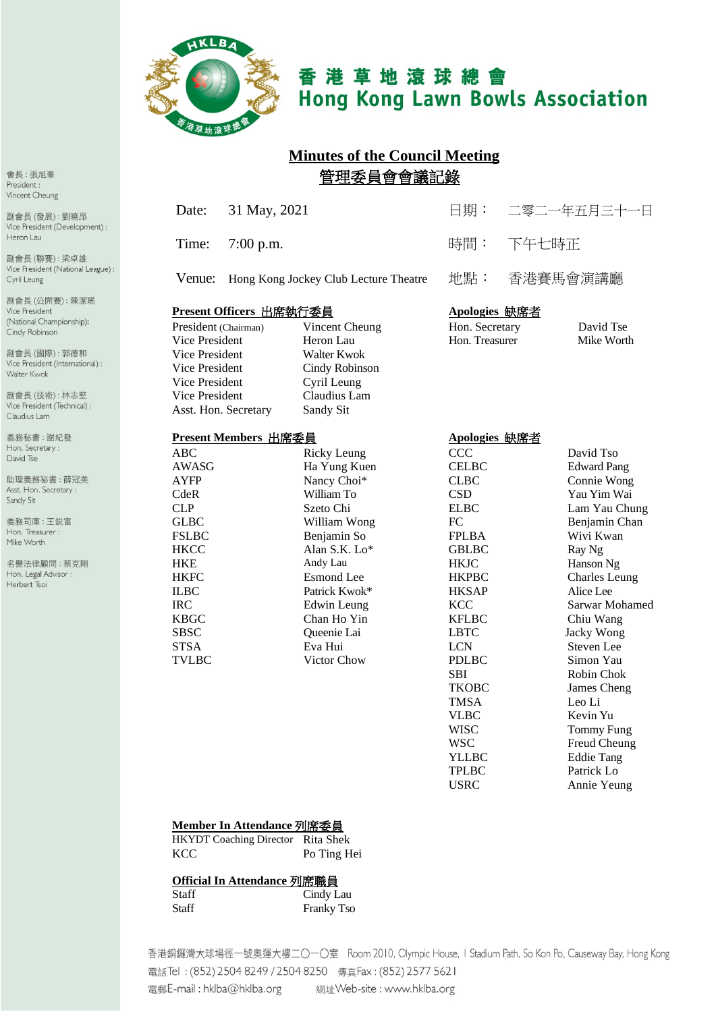

# 香港草地滾球總會 **Hong Kong Lawn Bowls Association**

# **Minutes of the Council Meeting** 管理委員會會議記錄

| Date:                                                                                                                                                                                                           | 31 May, 2021                          |                                                                                                                                                                                                                                                              | 日期:                                                                                                                                                                                                                                                                                                                                                              |          | 二零二一年五月三十一日                                                                                                                                                                                                                                                                                                                                                                                |
|-----------------------------------------------------------------------------------------------------------------------------------------------------------------------------------------------------------------|---------------------------------------|--------------------------------------------------------------------------------------------------------------------------------------------------------------------------------------------------------------------------------------------------------------|------------------------------------------------------------------------------------------------------------------------------------------------------------------------------------------------------------------------------------------------------------------------------------------------------------------------------------------------------------------|----------|--------------------------------------------------------------------------------------------------------------------------------------------------------------------------------------------------------------------------------------------------------------------------------------------------------------------------------------------------------------------------------------------|
| Time:                                                                                                                                                                                                           | $7:00$ p.m.                           |                                                                                                                                                                                                                                                              | 時間:                                                                                                                                                                                                                                                                                                                                                              | 下午七時正    |                                                                                                                                                                                                                                                                                                                                                                                            |
| Venue:                                                                                                                                                                                                          | Hong Kong Jockey Club Lecture Theatre |                                                                                                                                                                                                                                                              | 地點:                                                                                                                                                                                                                                                                                                                                                              | 香港賽馬會演講廳 |                                                                                                                                                                                                                                                                                                                                                                                            |
| Present Officers 出席執行委員<br>President (Chairman)<br>Vice President<br><b>Vice President</b><br>Vice President<br>Vice President<br>Vice President                                                                |                                       | Vincent Cheung<br>Heron Lau<br><b>Walter Kwok</b><br>Cindy Robinson<br>Cyril Leung<br>Claudius Lam                                                                                                                                                           | Apologies 缺席者<br>Hon. Secretary<br>Hon. Treasurer                                                                                                                                                                                                                                                                                                                |          | David Tse<br>Mike Worth                                                                                                                                                                                                                                                                                                                                                                    |
| Asst. Hon. Secretary<br>Sandy Sit<br>Present Members 出席委員                                                                                                                                                       |                                       |                                                                                                                                                                                                                                                              | Apologies 缺席者                                                                                                                                                                                                                                                                                                                                                    |          |                                                                                                                                                                                                                                                                                                                                                                                            |
| ABC<br>AWASG<br><b>AYFP</b><br>CdeR<br><b>CLP</b><br><b>GLBC</b><br><b>FSLBC</b><br><b>HKCC</b><br><b>HKE</b><br><b>HKFC</b><br><b>ILBC</b><br><b>IRC</b><br><b>KBGC</b><br><b>SBSC</b><br><b>STSA</b><br>TVLBC |                                       | <b>Ricky Leung</b><br>Ha Yung Kuen<br>Nancy Choi*<br>William To<br>Szeto Chi<br>William Wong<br>Benjamin So<br>Alan S.K. Lo*<br>Andy Lau<br><b>Esmond</b> Lee<br>Patrick Kwok*<br>Edwin Leung<br>Chan Ho Yin<br>Queenie Lai<br>Eva Hui<br><b>Victor Chow</b> | CCC<br><b>CELBC</b><br><b>CLBC</b><br><b>CSD</b><br><b>ELBC</b><br>FC<br><b>FPLBA</b><br><b>GBLBC</b><br><b>HKJC</b><br><b>HKPBC</b><br><b>HKSAP</b><br><b>KCC</b><br><b>KFLBC</b><br><b>LBTC</b><br><b>LCN</b><br><b>PDLBC</b><br><b>SBI</b><br><b>TKOBC</b><br><b>TMSA</b><br><b>VLBC</b><br><b>WISC</b><br>WSC<br><b>YLLBC</b><br><b>TPLBC</b><br><b>USRC</b> |          | David Tso<br><b>Edward Pang</b><br>Connie Wong<br>Yau Yim Wai<br>Lam Yau Chung<br>Benjamin Chan<br>Wivi Kwan<br>Ray Ng<br>Hanson Ng<br><b>Charles Leung</b><br>Alice Lee<br>Sarwar Mohamed<br>Chiu Wang<br>Jacky Wong<br>Steven Lee<br>Simon Yau<br>Robin Chok<br>James Cheng<br>Leo Li<br>Kevin Yu<br><b>Tommy Fung</b><br>Freud Cheung<br><b>Eddie Tang</b><br>Patrick Lo<br>Annie Yeung |

#### **Member In Attendance** 列席委員

HKYDT Coaching Director Rita Shek KCC Po Ting Hei

#### **Official In Attendance** 列席職員

| Staff | Cindy Lau         |
|-------|-------------------|
| Staff | <b>Franky Tso</b> |

香港銅鑼灣大球場徑一號奧運大樓二〇一〇室 Room 2010, Olympic House, I Stadium Path, So Kon Po, Causeway Bay, Hong Kong 電話Tel: (852) 2504 8249 / 2504 8250 傳真Fax: (852) 2577 5621 電郵E-mail: hklba@hklba.org 網址Web-site : www.hklba.org

會長:張旭峯 President: Vincent Cheung

副會長(發展):劉曉昂 Vice President (Development) : Heron Lau

副會長(聯賽):梁卓雄 Vice President (National League) : Cyril Leung

副會長(公開賽):陳潔瑤 Vice President (National Championship): Cindy Robinson

副會長(國際):郭德和 Vice President (International) : Walter Kwok

副會長(技術):林志堅 Vice President (Technical) : Claudius Lam

義務秘書:謝紀發 Hon. Secretary: David Tse

助理義務秘書:薛冠美 Asst. Hon. Secretary : Sandy Sit

義務司庫:王鋭富 Hon. Treasurer : Mike Worth

名譽法律顧問:蔡克剛 Hon. Legal Advisor : Herbert Tsoi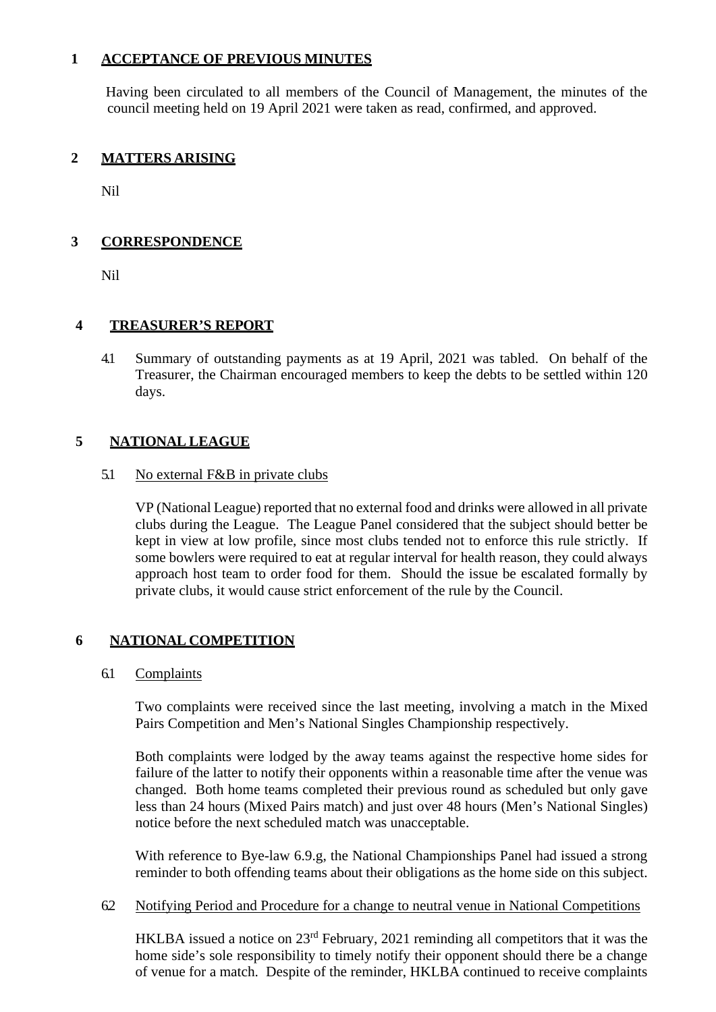## **1 ACCEPTANCE OF PREVIOUS MINUTES**

Having been circulated to all members of the Council of Management, the minutes of the council meeting held on 19 April 2021 were taken as read, confirmed, and approved.

## **2 MATTERS ARISING**

Nil

## **3 CORRESPONDENCE**

Nil

## **4 TREASURER'S REPORT**

4.1 Summary of outstanding payments as at 19 April, 2021 was tabled. On behalf of the Treasurer, the Chairman encouraged members to keep the debts to be settled within 120 days.

## **5 NATIONAL LEAGUE**

#### 5.1 No external F&B in private clubs

VP (National League) reported that no external food and drinks were allowed in all private clubs during the League. The League Panel considered that the subject should better be kept in view at low profile, since most clubs tended not to enforce this rule strictly. If some bowlers were required to eat at regular interval for health reason, they could always approach host team to order food for them. Should the issue be escalated formally by private clubs, it would cause strict enforcement of the rule by the Council.

## **6 NATIONAL COMPETITION**

#### 6.1 Complaints

Two complaints were received since the last meeting, involving a match in the Mixed Pairs Competition and Men's National Singles Championship respectively.

Both complaints were lodged by the away teams against the respective home sides for failure of the latter to notify their opponents within a reasonable time after the venue was changed. Both home teams completed their previous round as scheduled but only gave less than 24 hours (Mixed Pairs match) and just over 48 hours (Men's National Singles) notice before the next scheduled match was unacceptable.

With reference to Bye-law 6.9.g, the National Championships Panel had issued a strong reminder to both offending teams about their obligations as the home side on this subject.

#### 6.2 Notifying Period and Procedure for a change to neutral venue in National Competitions

HKLBA issued a notice on 23rd February, 2021 reminding all competitors that it was the home side's sole responsibility to timely notify their opponent should there be a change of venue for a match. Despite of the reminder, HKLBA continued to receive complaints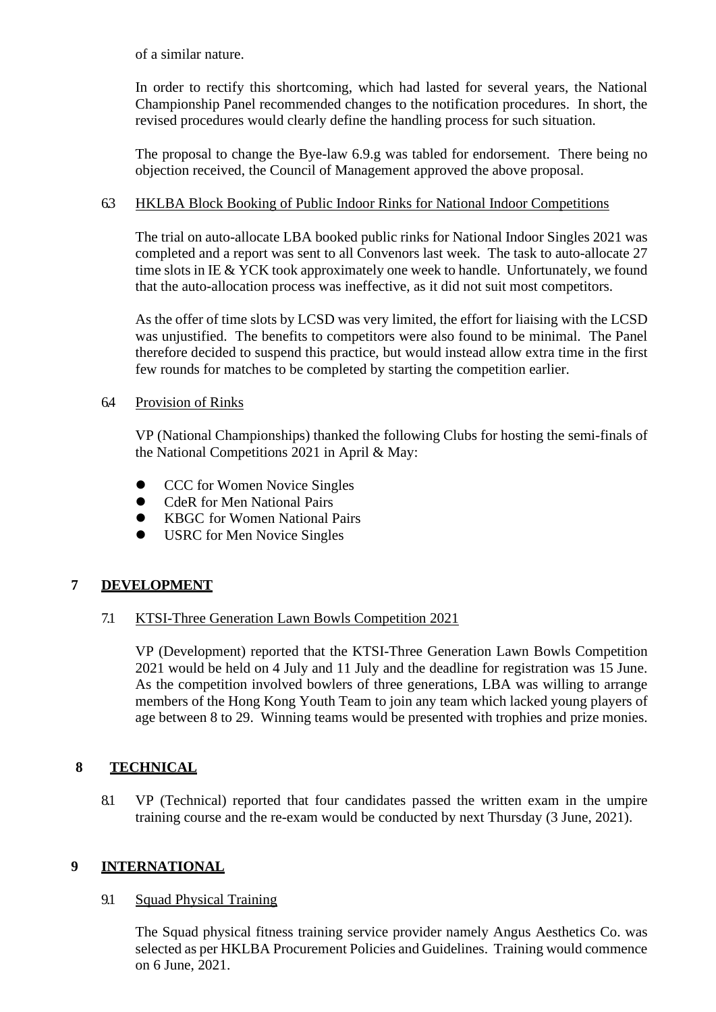of a similar nature.

In order to rectify this shortcoming, which had lasted for several years, the National Championship Panel recommended changes to the notification procedures. In short, the revised procedures would clearly define the handling process for such situation.

The proposal to change the Bye-law 6.9.g was tabled for endorsement. There being no objection received, the Council of Management approved the above proposal.

## 6.3 HKLBA Block Booking of Public Indoor Rinks for National Indoor Competitions

The trial on auto-allocate LBA booked public rinks for National Indoor Singles 2021 was completed and a report was sent to all Convenors last week. The task to auto-allocate 27 time slots in IE & YCK took approximately one week to handle. Unfortunately, we found that the auto-allocation process was ineffective, as it did not suit most competitors.

As the offer of time slots by LCSD was very limited, the effort for liaising with the LCSD was unjustified. The benefits to competitors were also found to be minimal. The Panel therefore decided to suspend this practice, but would instead allow extra time in the first few rounds for matches to be completed by starting the competition earlier.

#### 6.4 Provision of Rinks

VP (National Championships) thanked the following Clubs for hosting the semi-finals of the National Competitions 2021 in April & May:

- **•** CCC for Women Novice Singles
- **•** CdeR for Men National Pairs
- KBGC for Women National Pairs
- **USRC** for Men Novice Singles

## **7 DEVELOPMENT**

## 7.1 KTSI-Three Generation Lawn Bowls Competition 2021

VP (Development) reported that the KTSI-Three Generation Lawn Bowls Competition 2021 would be held on 4 July and 11 July and the deadline for registration was 15 June. As the competition involved bowlers of three generations, LBA was willing to arrange members of the Hong Kong Youth Team to join any team which lacked young players of age between 8 to 29. Winning teams would be presented with trophies and prize monies.

## **8 TECHNICAL**

8.1 VP (Technical) reported that four candidates passed the written exam in the umpire training course and the re-exam would be conducted by next Thursday (3 June, 2021).

## **9 INTERNATIONAL**

## 9.1 Squad Physical Training

The Squad physical fitness training service provider namely Angus Aesthetics Co. was selected as per HKLBA Procurement Policies and Guidelines. Training would commence on 6 June, 2021.